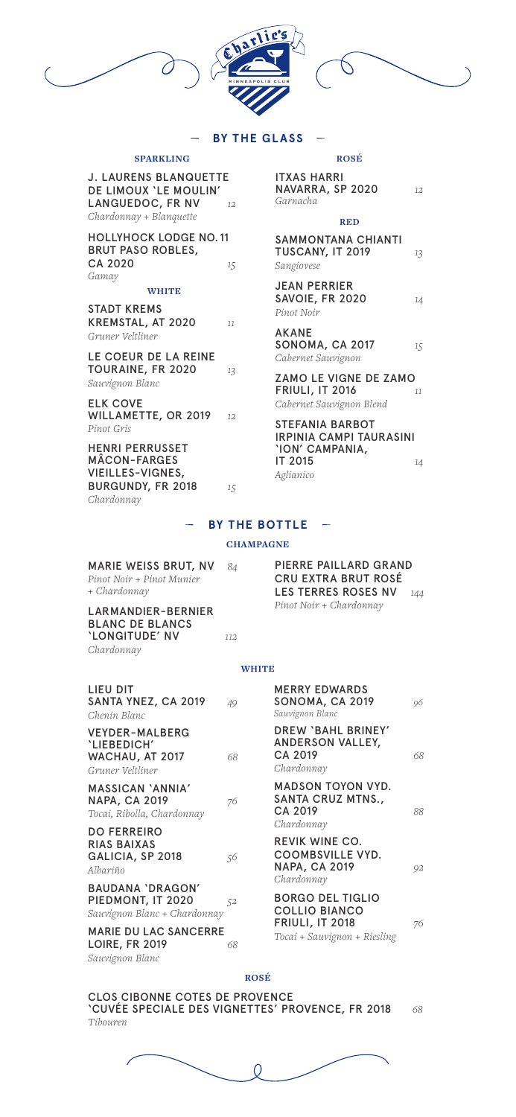

# **BY THE GLASS**

### **SPARKLING**

| J. LAURENS BLANQUETTE        |    |
|------------------------------|----|
| <b>DE LIMOUX 'LE MOULIN'</b> |    |
| LANGUEDOC, FR NV             | 12 |
| Chardonnay + Blanquette      |    |

HOLLYHOCK LODGE NO. 11 BRUT PASO ROBLES, CA 2020 *15 Gamay*

### **WHITE**

STADT KREMS KREMSTAL, AT 2020 *11 Gruner Veltliner*

LE COEUR DE LA REINE TOURAINE, FR 2020 *13 Sauvignon Blanc*

ELK COVE WILLAMETTE, OR 2019 *12 Pinot Gris*

HENRI PERRUSSET MÂCON-FARGES VIEILLES-VIGNES, BURGUNDY, FR 2018 *15 Chardonnay*

### **ROSÉ**

| <b>ITXAS HARRI</b> |    |
|--------------------|----|
| NAVARRA, SP 2020   | 12 |
| Garnacha           |    |

#### **RED**

| SAMMONTANA CHIANTI<br>TUSCANY, IT 2019<br>Sangiovese | 13 |
|------------------------------------------------------|----|
| JEAN PERRIER<br>SAVOIE, FR 2020<br>Pinot Noir        | 14 |
| AKANE                                                |    |

SONOMA, CA 2017 *15 Cabernet Sauvignon*

ZAMO LE VIGNE DE ZAMO FRIULI, IT 2016 *11 Cabernet Sauvignon Blend*

STEFANIA BARBOT IRPINIA CAMPI TAURASINI 'ION' CAMPANIA, IT 2015 *14 Aglianico*

## **BY THE BOTTLE**

### **CHAMPAGNE**

| <b>MARIE WEISS BRUT, NV</b> | - 84 |
|-----------------------------|------|
| Pinot Noir + Pinot Munier   |      |
| + Chardonnay                |      |

LARMANDIER-BERNIER BLANC DE BLANCS 'LONGITUDE' NV *112 Chardonnay*

PIERRE PAILLARD GRAND CRU EXTRA BRUT ROSÉ LES TERRES ROSES NV *144 Pinot Noir + Chardonnay*

#### **WHITE**

| LIEU DIT<br>SANTA YNEZ, CA 2019<br>Chenin Blanc                              | 49 | <b>MERRY EDWARDS</b><br>SONOMA, CA 2019<br>Sauvignon Blanc                             | 96 |
|------------------------------------------------------------------------------|----|----------------------------------------------------------------------------------------|----|
| VEYDER-MALBERG<br>'LIEBEDICH'<br>WACHAU, AT 2017<br>Gruner Veltliner         | 68 | DREW 'BAHL BRINEY'<br><b>ANDERSON VALLEY,</b><br>CA 2019<br>Chardonnay                 | 68 |
| MASSICAN 'ANNIA'<br><b>NAPA, CA 2019</b><br>Tocai, Ribolla, Chardonnay       | 76 | <b>MADSON TOYON VYD.</b><br>SANTA CRUZ MTNS.,<br>CA 2019<br>Chardonnay                 | 88 |
| <b>DO FERREIRO</b><br>RIAS BAIXAS<br>GALICIA, SP 2018<br>Albariño            | 56 | <b>REVIK WINE CO.</b><br><b>COOMBSVILLE VYD.</b><br><b>NAPA, CA 2019</b><br>Chardonnay | 92 |
| <b>BAUDANA 'DRAGON'</b><br>PIEDMONT, IT 2020<br>Sauvignon Blanc + Chardonnay | 52 | <b>BORGO DEL TIGLIO</b><br><b>COLLIO BIANCO</b>                                        |    |
| <b>MARIE DU LAC SANCERRE</b><br><b>LOIRE, FR 2019</b><br>Sauvignon Blanc     | 68 | <b>FRIULI, IT 2018</b><br>Tocai + Sauvignon + Riesling                                 | 76 |

### **ROSÉ**

CLOS CIBONNE COTES DE PROVENCE 'CUVÉE SPECIALE DES VIGNETTES' PROVENCE, FR 2018 *68 Tibouren*

0